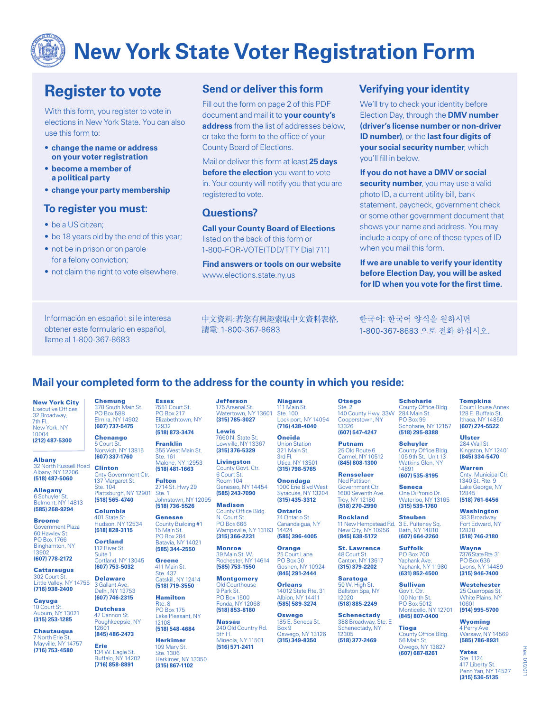# **New York State Voter Registration Form**

## **Register to vote**

With this form, you register to vote in elections in New York State. You can also use this form to:

- **change the name or address on your voter registration**
- **become a member of a political party**
- **change your party membership**

#### **To register you must:**

- be a US citizen:
- be 18 years old by the end of this year;
- not be in prison or on parole for a felony conviction;
- not claim the right to vote elsewhere.

#### **Send or deliver this form**

Fill out the form on page 2 of this PDF document and mail it to **your county's address** from the list of addresses below, or take the form to the office of your County Board of Elections.

Mail or deliver this form at least **25 days before the election** you want to vote in. Your county will notify you that you are registered to vote.

#### **Questions?**

**Call your County Board of Elections** listed on the back of this form or 1-800-FOR-VOTE(TDD/TTY Dial 711)

**Find answers or tools on our website** www.elections.state.ny.us

#### **Verifying your identity**

We'll try to check your identity before Election Day, through the **DMV number (driver's license number or non-driver ID number)**, or the **last four digits of your social security number**, which you'll fill in below.

**If you do not have a DMV or social security number**, you may use a valid photo ID, a current utility bill, bank statement, paycheck, government check or some other government document that shows your name and address. You may include a copy of one of those types of ID when you mail this form.

**If we are unable to verify your identity before Election Day, you will be asked for ID when you vote for the first time.** 

Información en español: si le interesa obtener este formulario en español, llame al 1-800-367-8683

5 Court St.

401 State St.

**(518) 828-3115 Cortland** 112 River St. Suite 1

**(607) 753-5032 Delaware** 3 Gallant Ave. Delhi, NY 13753 **(607) 746-2315** Dutchess 47 Cannon St. Poughkeepsie, NY 12601 **(845) 486-2473** Erie

134 W. Eagle St. Buffalo, NY 14202 **(716) 858-8891**

中文資料:若您有興趣索取中文資料表格, 請電: 1-800-367-8683

한국어: 한국어 양식을 원하시면 1-800-367-8683 으로 전화 하십시오.

### **Mail your completed form to the address for the county in which you reside:**

New York City Executive Offices 32 Broadway, 7th Fl. New York, NY 10004 **(212) 487-5300**

Albany 32 North Russell Road Albany, NY 12206 **(518) 487-5060**

Allegany 6 Schuyler St. Belmont, NY 14813 **(585) 268-9294**

Broome Government Plaza 60 Hawley St. PO Box 1766 Binghamton, NY 13902

**(607) 778-2172 Cattaraugus** 

302 Court St. Little Valley, NY 14755 **(716) 938-2400**

Cayuga 10 Court St. Auburn, NY 13021 **(315) 253-1285**

**Chautauqua** 7 North Erie St. Mayville, NY 14757 **(716) 753-4580**

Chemung 378 South Main St. PO Box 588 Elmira, NY 14902 **(607) 737-5475 Essex** 7551 Court St. PO Box 217 Elizabethtown, NY 12932

**Chenango** Norwich, NY 13815 **(607) 337-1760 (518) 873-3474** Franklin 355 West Main St. Ste. 161 Malone, NY 12953

Clinton Cnty Government Ctr. 137 Margaret St. Ste. 104 **(518) 481-1663** Fulton 2714 St. Hwy 29

Plattsburgh, NY 12901 **(518) 565-4740** Columbia Ste. 1 Johnstown, NY 12095 **(518) 736-5526**

Hudson, NY 12534 Genesee County Building #1 15 Main St. PO Box 284 Batavia, NY 14021

Cortland, NY 13045 **(585) 344-2550 Greene** 411 Main St.

Ste. 437 Catskill, NY 12414 **(518) 719-3550** Hamilton

> Rte. 8 PO Box 175 Lake Pleasant, NY 12108 **(518) 548-4684**

Herkimer 109 Mary St. Ste. 1306 Herkimer, NY 13350

**(315) 867-1102**

Jefferson 175 Arsenal St. Watertown, NY 13601 **(315) 785-3027**

Lewis<br>7660 N. State St. Lowville, NY 13367 **(315) 376-5329**

Livingston County Govt. Ctr. 6 Court St. Room 104 Geneseo, NY 14454 **(585) 243-7090**

Madison County Office Bldg. N. Court St. PO Box 666 Wampsville, NY 13163 **(315) 366-2231**

Monroe 39 Main St. W. Rochester, NY 14614 **(585) 753-1550**

**Montgomery** Old Courthouse 9 Park St. PO Box 1500 Fonda, NY 12068 **(518) 853-8180**

Nassau 240 Old Country Rd. 5th Fl. Mineola, NY 11501 **(516) 571-2411**

Niagara ain St. Ste. 100 Lock port, NY 14094 **(716) 438-4040**

Oneida Union Station 321 Main St. 3rd Fl. Utica, NY 13501

**(315) 798-5765 Onondaga** 1000 Erie Blvd West ----<br>use, NY 13204 **(315) 435-3312**

Ontario 74 Ontario St. Canandaigua, NY 14424

14012 State Rte. 31

Oswego, NY 13126

Otsego Ste. 2 140 County Hwy. 33W Cooperstown, NY 13326 **(607) 547-4247**

Putnam 25 Old Route 6 Carmel, NY 10512

Government Ctr. 1600 Seventh Ave. Troy, NY 12180 **(518) 270-2990**

Rockland 11 New Hempstead Rd. New City, NY 10956 **(845) 638-5172**

St. Lawrence 48 Court St. Canton, NY 13617 **(315) 379-2202**

Saratoga 50 W. High St. Ballston Spa, NY

 $12020$ **(518) 885-2249**

**Schenectady**<br>388 Broadway, Ste. E 388 Broadway, S Schenectady, NY 12305 **(518) 377-2469**

Schoharie County Office Bldg. 284 Main St. PO Box 99 Schoharie, NY 12157

**(518) 295-8388 Schuyler** County Office Bldg. 105 9th St., Unit 13

Watkins Glen, NY 14891 **(607) 535-8195**

Seneca One DiPronio Dr. Waterloo, NY 13165

**(315) 539-1760** Steuben 3 E. Pulteney Sq. Bath, NY 14810

**(607) 664-2260** Suffolk PO Box 700 Yaphank Ave. Yaphank, NY 11980 **(631) 852-4500**

Sullivan Gov't. Ctr. 100 North St. PO Box 5012 Monticello, NY 12701 **(845) 807-0400**

**Tioga**<br>County Office Bldg. 56 Main St. Owego, NY 13827 **(607) 687-8261**

Tompkins Court House Annex 128 E. Buffalo St. Ithaca, NY 14850 **(607) 274-5522**

Ulster 284 Wall St. Kingston, NY 12401 **(845) 334-5470**

Warren Cnty. Municipal Ctr. 1340 St. Rte. 9 Lake George, NY 12845 **(518) 761-6456**

**Washington** 383 Broadway Fort Edward, NY 12828

**(518) 746-2180** Wayne

7376 State Rte. 31 PO Box 636 ons, NY 14489 **(315) 946-7400**

**Westchester** 25 Quarropas St. White Plains, NY 10601 **(914) 995-5700**

Wyoming 4 Perry Ave. Warsaw, NY 14569 **(585) 786-8931**

Yates Ste. 1124 417 Liberty St. Penn Yan, NY 14527 **(315) 536-5135**

**(845) 808-1300** Rensselaer Ned Pattison

185 E. Seneca St. Box 9 **(315) 349-8350**

**(585) 396-4005 Orange** 25 Court Lane PO Box 30

Goshen, NY 10924 **(845) 291-2444 Orleans** 

Albion, NY 14411 **(585) 589-3274**

Oswego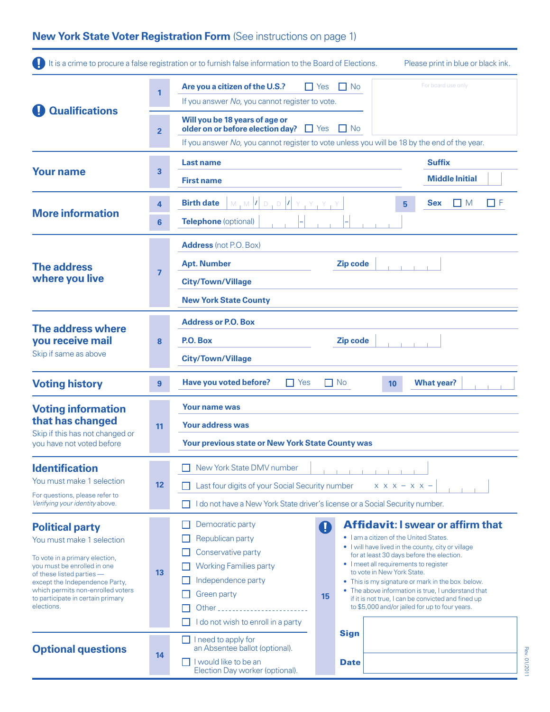## **New York State Voter Registration Form** (See instructions on page 1)

|                                                                                                                                                                                                                                                                             |                | It is a crime to procure a false registration or to furnish false information to the Board of Elections.                                                                                  | Please print in blue or black ink.                                                                                                                                                                                                                                                                                                                                                                                                                                             |  |
|-----------------------------------------------------------------------------------------------------------------------------------------------------------------------------------------------------------------------------------------------------------------------------|----------------|-------------------------------------------------------------------------------------------------------------------------------------------------------------------------------------------|--------------------------------------------------------------------------------------------------------------------------------------------------------------------------------------------------------------------------------------------------------------------------------------------------------------------------------------------------------------------------------------------------------------------------------------------------------------------------------|--|
| <b>Qualifications</b>                                                                                                                                                                                                                                                       | $\mathbf{1}$   | Are you a citizen of the U.S.?<br>$\Box$ Yes<br>$\Box$ No<br>If you answer No, you cannot register to vote.                                                                               | For board use only                                                                                                                                                                                                                                                                                                                                                                                                                                                             |  |
|                                                                                                                                                                                                                                                                             | $\overline{2}$ | Will you be 18 years of age or<br>older on or before election day? $\Box$ Yes<br>$\Box$ No<br>If you answer No, you cannot register to vote unless you will be 18 by the end of the year. |                                                                                                                                                                                                                                                                                                                                                                                                                                                                                |  |
|                                                                                                                                                                                                                                                                             |                |                                                                                                                                                                                           |                                                                                                                                                                                                                                                                                                                                                                                                                                                                                |  |
| <b>Your name</b>                                                                                                                                                                                                                                                            | 3              | <b>Last name</b><br><b>First name</b>                                                                                                                                                     | <b>Suffix</b><br><b>Middle Initial</b>                                                                                                                                                                                                                                                                                                                                                                                                                                         |  |
| <b>More information</b>                                                                                                                                                                                                                                                     | 4              | <b>Birth date</b><br>$M_1M$ $ I $ $D_1D_2$                                                                                                                                                | ПF<br><b>Sex</b><br>I I M<br>5                                                                                                                                                                                                                                                                                                                                                                                                                                                 |  |
|                                                                                                                                                                                                                                                                             | 6              | Telephone (optional)                                                                                                                                                                      |                                                                                                                                                                                                                                                                                                                                                                                                                                                                                |  |
| <b>The address</b><br>where you live                                                                                                                                                                                                                                        |                | <b>Address</b> (not P.O. Box)                                                                                                                                                             |                                                                                                                                                                                                                                                                                                                                                                                                                                                                                |  |
|                                                                                                                                                                                                                                                                             | $\overline{7}$ | Zip code<br><b>Apt. Number</b>                                                                                                                                                            |                                                                                                                                                                                                                                                                                                                                                                                                                                                                                |  |
|                                                                                                                                                                                                                                                                             |                | <b>City/Town/Village</b>                                                                                                                                                                  |                                                                                                                                                                                                                                                                                                                                                                                                                                                                                |  |
|                                                                                                                                                                                                                                                                             |                | <b>New York State County</b>                                                                                                                                                              |                                                                                                                                                                                                                                                                                                                                                                                                                                                                                |  |
| The address where<br>you receive mail<br>Skip if same as above                                                                                                                                                                                                              |                | <b>Address or P.O. Box</b>                                                                                                                                                                |                                                                                                                                                                                                                                                                                                                                                                                                                                                                                |  |
|                                                                                                                                                                                                                                                                             | 8              | P.O. Box<br>Zip code                                                                                                                                                                      |                                                                                                                                                                                                                                                                                                                                                                                                                                                                                |  |
|                                                                                                                                                                                                                                                                             |                | <b>City/Town/Village</b>                                                                                                                                                                  |                                                                                                                                                                                                                                                                                                                                                                                                                                                                                |  |
| <b>Voting history</b>                                                                                                                                                                                                                                                       | $\overline{9}$ | Have you voted before?<br><b>What year?</b><br>$\Box$ Yes<br>$\Box$ No<br>10                                                                                                              |                                                                                                                                                                                                                                                                                                                                                                                                                                                                                |  |
| <b>Voting information</b>                                                                                                                                                                                                                                                   |                | Your name was                                                                                                                                                                             |                                                                                                                                                                                                                                                                                                                                                                                                                                                                                |  |
| that has changed                                                                                                                                                                                                                                                            | 11             | <b>Your address was</b>                                                                                                                                                                   |                                                                                                                                                                                                                                                                                                                                                                                                                                                                                |  |
| Skip if this has not changed or<br>you have not voted before                                                                                                                                                                                                                |                | <b>Your previous state or New York State County was</b>                                                                                                                                   |                                                                                                                                                                                                                                                                                                                                                                                                                                                                                |  |
| <b>Identification</b>                                                                                                                                                                                                                                                       |                | New York State DMV number                                                                                                                                                                 |                                                                                                                                                                                                                                                                                                                                                                                                                                                                                |  |
| You must make 1 selection                                                                                                                                                                                                                                                   | 12             | Last four digits of your Social Security number<br>$X$ $X$ $X$ $ X$ $X$ $-$                                                                                                               |                                                                                                                                                                                                                                                                                                                                                                                                                                                                                |  |
| For questions, please refer to<br>Verifying your identity above.                                                                                                                                                                                                            |                | I do not have a New York State driver's license or a Social Security number.                                                                                                              |                                                                                                                                                                                                                                                                                                                                                                                                                                                                                |  |
| <b>Political party</b><br>You must make 1 selection<br>To vote in a primary election,<br>you must be enrolled in one<br>of these listed parties -<br>except the Independence Party,<br>which permits non-enrolled voters<br>to participate in certain primary<br>elections. | 13             | Democratic party<br>Ø<br>Republican party<br>Conservative party<br><b>Working Families party</b><br>Independence party<br>Green party<br>15<br>I do not wish to enroll in a party         | <b>Affidavit: I swear or affirm that</b><br>. I am a citizen of the United States.<br>• I will have lived in the county, city or village<br>for at least 30 days before the election.<br>• I meet all requirements to register<br>to vote in New York State.<br>• This is my signature or mark in the box below.<br>• The above information is true, I understand that<br>if it is not true, I can be convicted and fined up<br>to \$5,000 and/or jailed for up to four years. |  |
| <b>Optional questions</b>                                                                                                                                                                                                                                                   |                | <b>Sign</b><br>I need to apply for<br>an Absentee ballot (optional).                                                                                                                      |                                                                                                                                                                                                                                                                                                                                                                                                                                                                                |  |
|                                                                                                                                                                                                                                                                             | 14             | I would like to be an<br><b>Date</b>                                                                                                                                                      |                                                                                                                                                                                                                                                                                                                                                                                                                                                                                |  |

Election Day worker (optional).

Rev. 01/2011 Rev. 01/2011